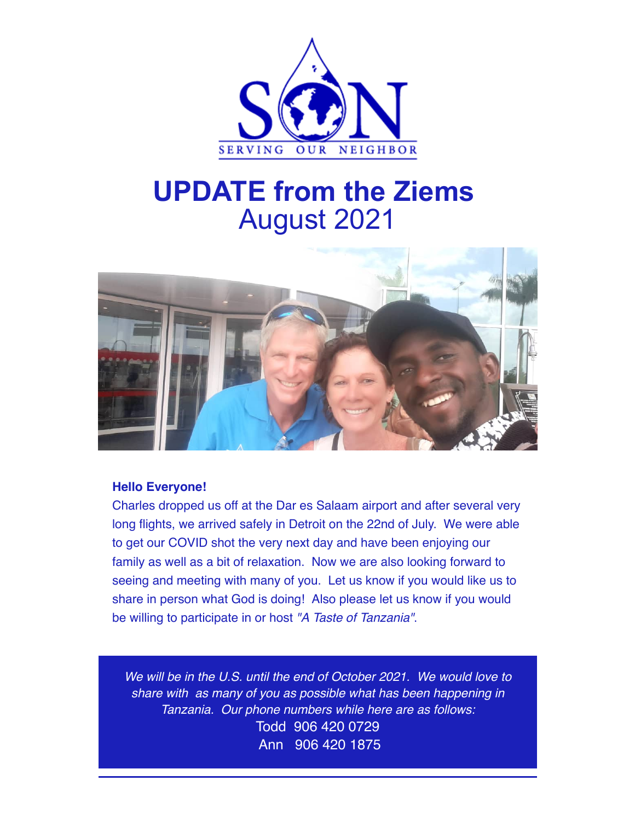

## **UPDATE from the Ziems** August 2021



## **Hello Everyone!**

Charles dropped us off at the Dar es Salaam airport and after several very long flights, we arrived safely in Detroit on the 22nd of July. We were able to get our COVID shot the very next day and have been enjoying our family as well as a bit of relaxation. Now we are also looking forward to seeing and meeting with many of you. Let us know if you would like us to share in person what God is doing! Also please let us know if you would be willing to participate in or host "A Taste of Tanzania".

We will be in the U.S. until the end of October 2021. We would love to share with as many of you as possible what has been happening in Tanzania. Our phone numbers while here are as follows: Todd 906 420 0729 Ann 906 420 1875